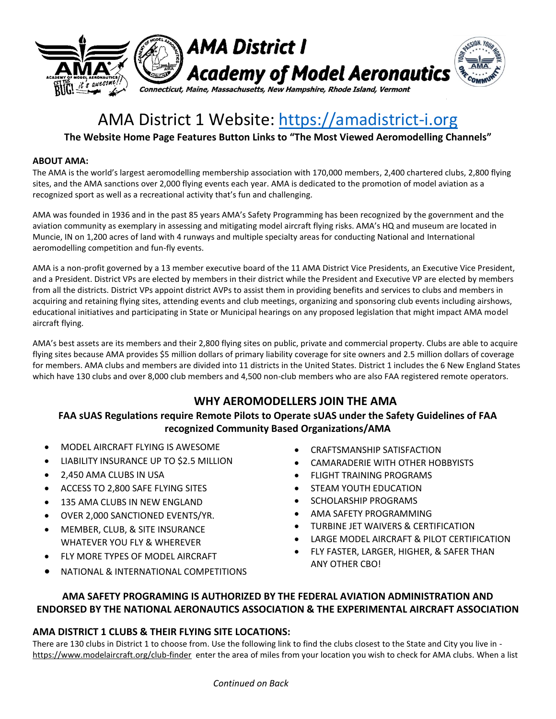

# AMA District 1 Website: [https://amadistrict-i.org](https://amadistrict-i.org/)

## **The Website Home Page Features Button Links to "The Most Viewed Aeromodelling Channels"**

#### **ABOUT AMA:**

The AMA is the world's largest aeromodelling membership association with 170,000 members, 2,400 chartered clubs, 2,800 flying sites, and the AMA sanctions over 2,000 flying events each year. AMA is dedicated to the promotion of model aviation as a recognized sport as well as a recreational activity that's fun and challenging.

AMA was founded in 1936 and in the past 85 years AMA's Safety Programming has been recognized by the government and the aviation community as exemplary in assessing and mitigating model aircraft flying risks. AMA's HQ and museum are located in Muncie, IN on 1,200 acres of land with 4 runways and multiple specialty areas for conducting National and International aeromodelling competition and fun-fly events.

AMA is a non-profit governed by a 13 member executive board of the 11 AMA District Vice Presidents, an Executive Vice President, and a President. District VPs are elected by members in their district while the President and Executive VP are elected by members from all the districts. District VPs appoint district AVPs to assist them in providing benefits and services to clubs and members in acquiring and retaining flying sites, attending events and club meetings, organizing and sponsoring club events including airshows, educational initiatives and participating in State or Municipal hearings on any proposed legislation that might impact AMA model aircraft flying.

AMA's best assets are its members and their 2,800 flying sites on public, private and commercial property. Clubs are able to acquire flying sites because AMA provides \$5 million dollars of primary liability coverage for site owners and 2.5 million dollars of coverage for members. AMA clubs and members are divided into 11 districts in the United States. District 1 includes the 6 New England States which have 130 clubs and over 8,000 club members and 4,500 non-club members who are also FAA registered remote operators.

## **WHY AEROMODELLERS JOIN THE AMA**

### **FAA sUAS Regulations require Remote Pilots to Operate sUAS under the Safety Guidelines of FAA recognized Community Based Organizations/AMA**

- MODEL AIRCRAFT FLYING IS AWESOME
- LIABILITY INSURANCE UP TO \$2.5 MILLION
- 2,450 AMA CLUBS IN USA
- ACCESS TO 2,800 SAFE FLYING SITES
- $-135$  AMA CLUBS IN NEW ENGLAND
- OVER 2,000 SANCTIONED EVENTS/YR.
- MEMBER, CLUB, & SITE INSURANCE WHATEVER YOU FLY & WHEREVER
- FLY MORE TYPES OF MODEL AIRCRAFT
- NATIONAL & INTERNATIONAL COMPETITIONS
- CRAFTSMANSHIP SATISFACTION
- CAMARADERIE WITH OTHER HOBBYISTS
- FLIGHT TRAINING PROGRAMS
- STEAM YOUTH EDUCATION
- SCHOLARSHIP PROGRAMS
- AMA SAFETY PROGRAMMING
- TURBINE JET WAIVERS & CERTIFICATION
- LARGE MODEL AIRCRAFT & PILOT CERTIFICATION
- FLY FASTER, LARGER, HIGHER, & SAFER THAN ANY OTHER CBO!

## **AMA SAFETY PROGRAMING IS AUTHORIZED BY THE FEDERAL AVIATION ADMINISTRATION AND ENDORSED BY THE NATIONAL AERONAUTICS ASSOCIATION & THE EXPERIMENTAL AIRCRAFT ASSOCIATION**

#### **AMA DISTRICT 1 CLUBS & THEIR FLYING SITE LOCATIONS:**

There are 130 clubs in District 1 to choose from. Use the following link to find the clubs closest to the State and City you live in <https://www.modelaircraft.org/club-finder>enter the area of miles from your location you wish to check for AMA clubs. When a list